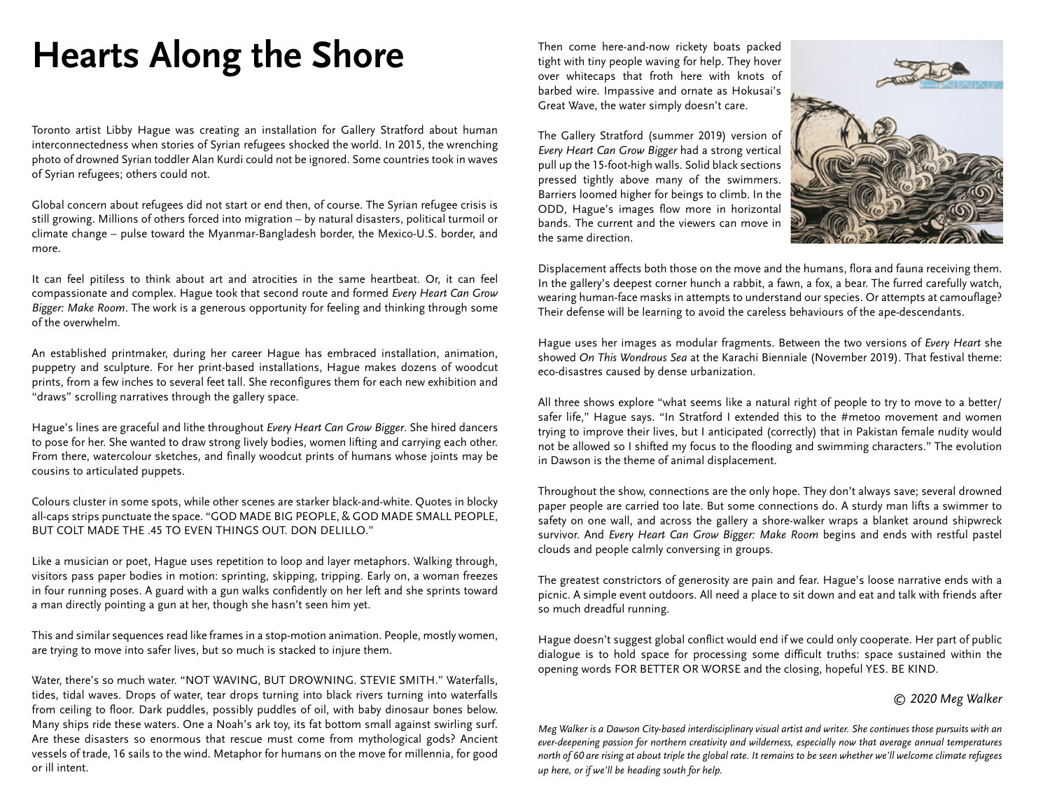## **Hearts Along the Shore**

Toronto artist Libby Hague was creating an installation for Gallery Stratford about human interconnectedness when stories of Syrian refugees shocked the world. In 2015, the wrenching photo of drowned Syrian toddler Alan Kurdi could not be ignored. Some countries took in waves of Syrian refugees; others could not.

Global concern about refugees did not start or end then, of course. The Syrian refugee crisis is still growing. Millions of others forced into migration – by natural disasters, political turmoil or climate change – pulse toward the Myanmar-Bangladesh border, the Mexico-U.S. border, and more.

It can feel pitiless to think about art and atrocities in the same heartbeat. Or, it can feel compassionate and complex. Hague took that second route and formed *Every Heart Can Grow Bigger: Make Room*. The work is a generous opportunity for feeling and thinking through some of the overwhelm.

An established printmaker, during her career Hague has embraced installation, animation, puppetry and sculpture. For her print-based installations, Hague makes dozens of woodcut prints, from a few inches to several feet tall. She reconfigures them for each new exhibition and "draws" scrolling narratives through the gallery space.

Hague's lines are graceful and lithe throughout *Every Heart Can Grow Bigger*. She hired dancers to pose for her. She wanted to draw strong lively bodies, women lifting and carrying each other. From there, watercolour sketches, and finally woodcut prints of humans whose joints may be cousins to articulated puppets.

Colours cluster in some spots, while other scenes are starker black-and-white. Quotes in blocky all-caps strips punctuate the space. "GOD MADE BIG PEOPLE, & GOD MADE SMALL PEOPLE, BUT COLT MADE THE .45 TO EVEN THINGS OUT. DON DELILLO."

Like a musician or poet, Hague uses repetition to loop and layer metaphors. Walking through, visitors pass paper bodies in motion: sprinting, skipping, tripping. Early on, a woman freezes in four running poses. A guard with a gun walks confidently on her left and she sprints toward a man directly pointing a gun at her, though she hasn't seen him yet.

This and similar sequences read like frames in a stop-motion animation. People, mostly women, are trying to move into safer lives, but so much is stacked to injure them.

Water, there's so much water. "NOT WAVING, BUT DROWNING. STEVIE SMITH." Waterfalls, tides, tidal waves. Drops of water, tear drops turning into black rivers turning into waterfalls from ceiling to floor. Dark puddles, possibly puddles of oil, with baby dinosaur bones below. Many ships ride these waters. One a Noah's ark toy, its fat bottom small against swirling surf. Are these disasters so enormous that rescue must come from mythological gods? Ancient vessels of trade, 16 sails to the wind. Metaphor for humans on the move for millennia, for good or ill intent.

Then come here-and-now rickety boats packed tight with tiny people waving for help. They hover over whitecaps that froth here with knots of barbed wire. Impassive and ornate as Hokusai's Great Wave, the water simply doesn't care.

The Gallery Stratford (summer 2019) version of *Every Heart Can Grow Bigger* had a strong vertical pull up the 15-foot-high walls. Solid black sections pressed tightly above many of the swimmers. Barriers loomed higher for beings to climb. In the ODD, Hague's images flow more in horizontal bands. The current and the viewers can move in the same direction.



Displacement affects both those on the move and the humans, flora and fauna receiving them. In the gallery's deepest corner hunch a rabbit, a fawn, a fox, a bear. The furred carefully watch, wearing human-face masks in attempts to understand our species. Or attempts at camouflage? Their defense will be learning to avoid the careless behaviours of the ape-descendants.

Hague uses her images as modular fragments. Between the two versions of *Every Heart* she showed *On This Wondrous Sea* at the Karachi Bienniale (November 2019). That festival theme: eco-disastres caused by dense urbanization.

All three shows explore "what seems like a natural right of people to try to move to a better/ safer life," Hague says. "In Stratford I extended this to the #metoo movement and women trying to improve their lives, but I anticipated (correctly) that in Pakistan female nudity would not be allowed so I shifted my focus to the flooding and swimming characters." The evolution in Dawson is the theme of animal displacement.

Throughout the show, connections are the only hope. They don't always save; several drowned paper people are carried too late. But some connections do. A sturdy man lifts a swimmer to safety on one wall, and across the gallery a shore-walker wraps a blanket around shipwreck survivor. And *Every Heart Can Grow Bigger: Make Room* begins and ends with restful pastel clouds and people calmly conversing in groups.

The greatest constrictors of generosity are pain and fear. Hague's loose narrative ends with a picnic. A simple event outdoors. All need a place to sit down and eat and talk with friends after so much dreadful running.

Hague doesn't suggest global conflict would end if we could only cooperate. Her part of public dialogue is to hold space for processing some difficult truths: space sustained within the opening words FOR BETTER OR WORSE and the closing, hopeful YES. BE KIND.

## *© 2020 Meg Walker*

*Meg Walker is a Dawson City-based interdisciplinary visual artist and writer. She continues those pursuits with an ever-deepening passion for northern creativity and wilderness, especially now that average annual temperatures north of 60 are rising at about triple the global rate. It remains to be seen whether we'll welcome climate refugees up here, or if we'll be heading south for help.*